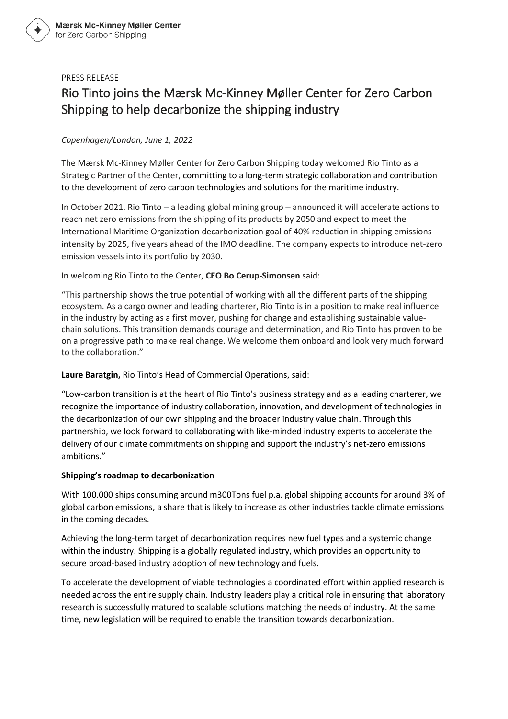#### PRESS RELEASE

# Rio Tinto joins the Mærsk Mc-Kinney Møller Center for Zero Carbon Shipping to help decarbonize the shipping industry

## *Copenhagen/London, June 1, 2022*

The Mærsk Mc-Kinney Møller Center for Zero Carbon Shipping today welcomed Rio Tinto as a Strategic Partner of the Center, committing to a long-term strategic collaboration and contribution to the development of zero carbon technologies and solutions for the maritime industry.

In October 2021, Rio Tinto – a leading global mining group – announced it will accelerate actions to reach net zero emissions from the shipping of its products by 2050 and expect to meet the International Maritime Organization decarbonization goal of 40% reduction in shipping emissions intensity by 2025, five years ahead of the IMO deadline. The company expects to introduce net-zero emission vessels into its portfolio by 2030.

In welcoming Rio Tinto to the Center, **CEO Bo Cerup-Simonsen** said:

"This partnership shows the true potential of working with all the different parts of the shipping ecosystem. As a cargo owner and leading charterer, Rio Tinto is in a position to make real influence in the industry by acting as a first mover, pushing for change and establishing sustainable valuechain solutions. This transition demands courage and determination, and Rio Tinto has proven to be on a progressive path to make real change. We welcome them onboard and look very much forward to the collaboration."

**Laure Baratgin,** Rio Tinto's Head of Commercial Operations, said:

"Low-carbon transition is at the heart of Rio Tinto's business strategy and as a leading charterer, we recognize the importance of industry collaboration, innovation, and development of technologies in the decarbonization of our own shipping and the broader industry value chain. Through this partnership, we look forward to collaborating with like-minded industry experts to accelerate the delivery of our climate commitments on shipping and support the industry's net-zero emissions ambitions."

#### **Shipping's roadmap to decarbonization**

With 100.000 ships consuming around m300Tons fuel p.a. global shipping accounts for around 3% of global carbon emissions, a share that is likely to increase as other industries tackle climate emissions in the coming decades.

Achieving the long-term target of decarbonization requires new fuel types and a systemic change within the industry. Shipping is a globally regulated industry, which provides an opportunity to secure broad-based industry adoption of new technology and fuels.

To accelerate the development of viable technologies a coordinated effort within applied research is needed across the entire supply chain. Industry leaders play a critical role in ensuring that laboratory research is successfully matured to scalable solutions matching the needs of industry. At the same time, new legislation will be required to enable the transition towards decarbonization.